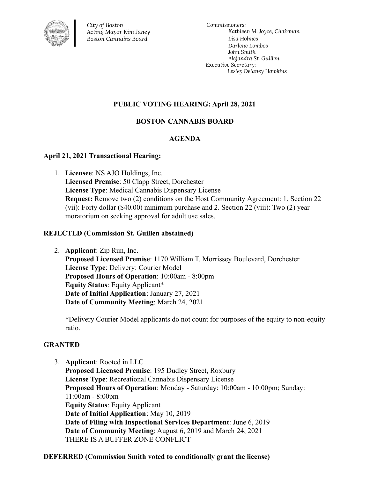

*City of Boston Acting Mayor Kim Janey Boston Cannabis Board*

*Commissioners: Kathleen M. Joyce, Chairman Lisa Holmes Darlene Lombos John Smith Alejandra St. Guillen Executive Secretary: Lesley Delaney Hawkins*

## **PUBLIC VOTING HEARING: April 28, 2021**

# **BOSTON CANNABIS BOARD**

## **AGENDA**

#### **April 21, 2021 Transactional Hearing:**

1. **Licensee**: NS AJO Holdings, Inc. **Licensed Premise**: 50 Clapp Street, Dorchester **License Type**: Medical Cannabis Dispensary License **Request:** Remove two (2) conditions on the Host Community Agreement: 1. Section 22 (vii): Forty dollar (\$40.00) minimum purchase and 2. Section 22 (viii): Two (2) year moratorium on seeking approval for adult use sales.

#### **REJECTED (Commission St. Guillen abstained)**

2. **Applicant**: Zip Run, Inc.

**Proposed Licensed Premise**: 1170 William T. Morrissey Boulevard, Dorchester **License Type**: Delivery: Courier Model **Proposed Hours of Operation**: 10:00am - 8:00pm **Equity Status**: Equity Applicant\* **Date of Initial Application**: January 27, 2021 **Date of Community Meeting**: March 24, 2021

**\***Delivery Courier Model applicants do not count for purposes of the equity to non-equity ratio.

## **GRANTED**

3. **Applicant**: Rooted in LLC **Proposed Licensed Premise**: 195 Dudley Street, Roxbury **License Type**: Recreational Cannabis Dispensary License **Proposed Hours of Operation**: Monday - Saturday: 10:00am - 10:00pm; Sunday: 11:00am - 8:00pm **Equity Status**: Equity Applicant **Date of Initial Application**: May 10, 2019 **Date of Filing with Inspectional Services Department**: June 6, 2019 **Date of Community Meeting**: August 6, 2019 and March 24, 2021 THERE IS A BUFFER ZONE CONFLICT

**DEFERRED (Commission Smith voted to conditionally grant the license)**